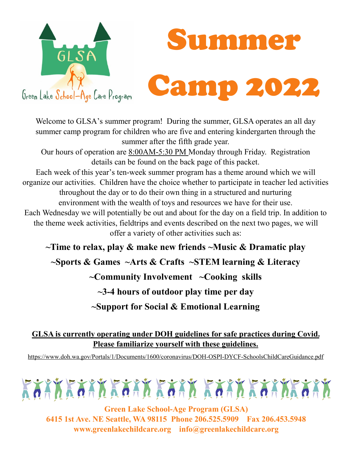



Welcome to GLSA's summer program! During the summer, GLSA operates an all day summer camp program for children who are five and entering kindergarten through the summer after the fifth grade year. Our hours of operation are 8:00AM-5:30 PM Monday through Friday. Registration details can be found on the back page of this packet. Each week of this year's ten-week summer program has a theme around which we will organize our activities. Children have the choice whether to participate in teacher led activities throughout the day or to do their own thing in a structured and nurturing environment with the wealth of toys and resources we have for their use. Each Wednesday we will potentially be out and about for the day on a field trip. In addition to the theme week activities, fieldtrips and events described on the next two pages, we will offer a variety of other activities such as:

**~Time to relax, play & make new friends ~Music & Dramatic play ~Sports & Games ~Arts & Crafts ~STEM learning & Literacy ~Community Involvement ~Cooking skills ~3-4 hours of outdoor play time per day ~Support for Social & Emotional Learning** 

**GLSA is currently operating under DOH guidelines for safe practices during Covid. Please familiarize yourself with these guidelines.**

https://www.doh.wa.gov/Portals/1/Documents/1600/coronavirus/DOH-OSPI-DYCF-SchoolsChildCareGuidance.pdf



**Green Lake School-Age Program (GLSA) 6415 1st Ave. NE Seattle, WA 98115 Phone 206.525.5909 Fax 206.453.5948 www.greenlakechildcare.org info@greenlakechildcare.org**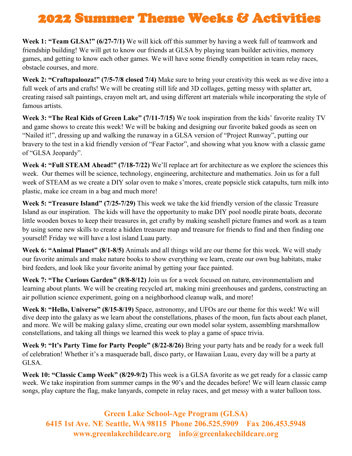## 2022 Summer Theme Weeks & Activities

**Week 1: "Team GLSA!" (6/27-7/1)** We will kick off this summer by having a week full of teamwork and friendship building! We will get to know our friends at GLSA by playing team builder activities, memory games, and getting to know each other games. We will have some friendly competition in team relay races, obstacle courses, and more.

**Week 2: "Craftapalooza!" (7/5-7/8 closed 7/4)** Make sure to bring your creativity this week as we dive into a full week of arts and crafts! We will be creating still life and 3D collages, getting messy with splatter art, creating raised salt paintings, crayon melt art, and using different art materials while incorporating the style of famous artists.

**Week 3: "The Real Kids of Green Lake" (7/11-7/15)** We took inspiration from the kids' favorite reality TV and game shows to create this week! We will be baking and designing our favorite baked goods as seen on "Nailed it!", dressing up and walking the runaway in a GLSA version of "Project Runway", putting our bravery to the test in a kid friendly version of "Fear Factor", and showing what you know with a classic game of "GLSA Jeopardy".

**Week 4: "Full STEAM Ahead!" (7/18-7/22)** We'll replace art for architecture as we explore the sciences this week. Our themes will be science, technology, engineering, architecture and mathematics. Join us for a full week of STEAM as we create a DIY solar oven to make s'mores, create popsicle stick catapults, turn milk into plastic, make ice cream in a bag and much more!

**Week 5: "Treasure Island" (7/25-7/29)** This week we take the kid friendly version of the classic Treasure Island as our inspiration. The kids will have the opportunity to make DIY pool noodle pirate boats, decorate little wooden boxes to keep their treasures in, get crafty by making seashell picture frames and work as a team by using some new skills to create a hidden treasure map and treasure for friends to find and then finding one yourself! Friday we will have a lost island Luau party.

**Week 6: "Animal Planet" (8/1-8/5)** Animals and all things wild are our theme for this week. We will study our favorite animals and make nature books to show everything we learn, create our own bug habitats, make bird feeders, and look like your favorite animal by getting your face painted.

**Week 7: "The Curious Garden" (8/8-8/12)** Join us for a week focused on nature, environmentalism and learning about plants. We will be creating recycled art, making mini greenhouses and gardens, constructing an air pollution science experiment, going on a neighborhood cleanup walk, and more!

**Week 8: "Hello, Universe" (8/15-8/19)** Space, astronomy, and UFOs are our theme for this week! We will dive deep into the galaxy as we learn about the constellations, phases of the moon, fun facts about each planet, and more. We will be making galaxy slime, creating our own model solar system, assembling marshmallow constellations, and taking all things we learned this week to play a game of space trivia.

**Week 9: "It's Party Time for Party People" (8/22-8/26)** Bring your party hats and be ready for a week full of celebration! Whether it's a masquerade ball, disco party, or Hawaiian Luau, every day will be a party at GLSA.

**Week 10: "Classic Camp Week" (8/29-9/2)** This week is a GLSA favorite as we get ready for a classic camp week. We take inspiration from summer camps in the 90's and the decades before! We will learn classic camp songs, play capture the flag, make lanyards, compete in relay races, and get messy with a water balloon toss.

**Green Lake School-Age Program (GLSA) 6415 1st Ave. NE Seattle, WA 98115 Phone 206.525.5909 Fax 206.453.5948 www.greenlakechildcare.org info@greenlakechildcare.org**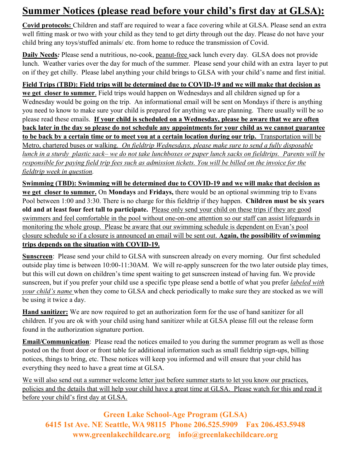## **Summer Notices (please read before your child's first day at GLSA):**

**Covid protocols:** Children and staff are required to wear a face covering while at GLSA. Please send an extra well fitting mask or two with your child as they tend to get dirty through out the day. Please do not have your child bring any toys/stuffed animals/ etc. from home to reduce the transmission of Covid.

**Daily Needs***:* Please send a nutritious, no-cook, peanut-free sack lunch every day*.* GLSA does not provide lunch. Weather varies over the day for much of the summer. Please send your child with an extra layer to put on if they get chilly. Please label anything your child brings to GLSA with your child's name and first initial.

**Field Trips (TBD): Field trips will be determined due to COVID-19 and we will make that decision as we get closer to summer**. Field trips would happen on Wednesdays and all children signed up for a Wednesday would be going on the trip. An informational email will be sent on Mondays if there is anything you need to know to make sure your child is prepared for anything we are planning. There usually will be so please read these emails. **If your child is scheduled on a Wednesday, please be aware that we are often back later in the day so please do not schedule any appointments for your child as we cannot guarantee to be back by a certain time or to meet you at a certain location during our trip.** Transportation will be Metro, chartered buses or walking. *On fieldtrip Wednesdays, please make sure to send a fully disposable lunch in a sturdy plastic sack– we do not take lunchboxes or paper lunch sacks on fieldtrips. Parents will be responsible for paying field trip fees such as admission tickets. You will be billed on the invoice for the fieldtrip week in question.* 

**Swimming (TBD): Swimming will be determined due to COVID-19 and we will make that decision as we get closer to summer.** On **Mondays** and **Fridays,** there would be an optional swimming trip to Evans Pool between 1:00 and 3:30. There is no charge for this fieldtrip if they happen. **Children must be six years old and at least four feet tall to participate.** Please only send your child on these trips if they are good swimmers and feel comfortable in the pool without one-on-one attention so our staff can assist lifeguards in monitoring the whole group. Please be aware that our swimming schedule is dependent on Evan's pool closure schedule so if a closure is announced an email will be sent out. **Again, the possibility of swimming trips depends on the situation with COVID-19.**

**Sunscreen**: Please send your child to GLSA with sunscreen already on every morning. Our first scheduled outside play time is between 10:00-11:30AM. We will re-apply sunscreen for the two later outside play times, but this will cut down on children's time spent waiting to get sunscreen instead of having fun. We provide sunscreen, but if you prefer your child use a specific type please send a bottle of what you prefer *labeled with your child's name* when they come to GLSA and check periodically to make sure they are stocked as we will be using it twice a day.

**Hand sanitizer:** We are now required to get an authorization form for the use of hand sanitizer for all children. If you are ok with your child using hand sanitizer while at GLSA please fill out the release form found in the authorization signature portion.

**Email/Communication**: Please read the notices emailed to you during the summer program as well as those posted on the front door or front table for additional information such as small fieldtrip sign-ups, billing notices, things to bring, etc. These notices will keep you informed and will ensure that your child has everything they need to have a great time at GLSA.

We will also send out a summer welcome letter just before summer starts to let you know our practices, policies and the details that will help your child have a great time at GLSA. Please watch for this and read it before your child's first day at GLSA.

**Green Lake School-Age Program (GLSA) 6415 1st Ave. NE Seattle, WA 98115 Phone 206.525.5909 Fax 206.453.5948 www.greenlakechildcare.org info@greenlakechildcare.org**